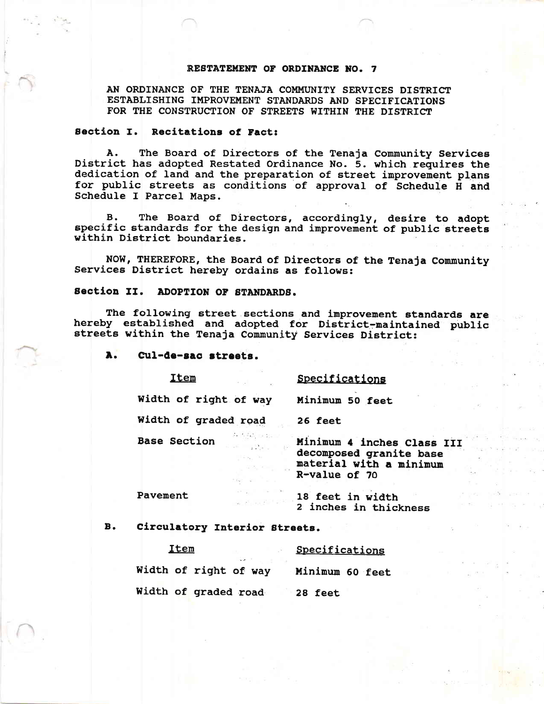#### RESTATEMENT OF ORDINANCE NO. 7

AN ORDINANCE OF THE TENAJA COMMUNITY SERVICES DISTRICT ESTABLISHING IMPROVEMENT STANDARDS AND SPECIFICATIONS FOR THE CONSTRUCTION OF STREETS WITHIN THE DISTRICT

#### Section I. Recitations of Fact:

A. The Board of Directors of the Tenaja Community Services<br>District has adopted Restated Ordinance No. 5. which requires the<br>dedication of land and the preparation of street improvement plans<br>for public streets as conditio

B. The Board of Directors, accordingly, desire to adopt specific standards for the design and improvement of public streets within District boundaries.

NOW, THEREFORE, the Board of Directors of the Tenaja Community Services District hereby ordains as follows:

### Section II. ADOPTION OF STANDARDS.

The following street sections and improvement standards are hereby established and adopted for District-maintained public streets within the Tenaja Community Services District:

A. Cul-de-sac streets.

Iten

Specificatlons

Minimum 50 feet Width of right of way

25 feet

Width of graded road

Base Section

Minimum 4 inches Class III decomposed granite base<br>material with a minimum R-value of 7o

Pavement

18 feet in width<br>2 inches in thickness

B. Circulatory Interior Streets.

| Item<br>$\mathcal{L}(\mathcal{C})$ . | Specifications  |
|--------------------------------------|-----------------|
| Width of right of way                | Minimum 60 feet |
| Width of graded road                 | 28 feet         |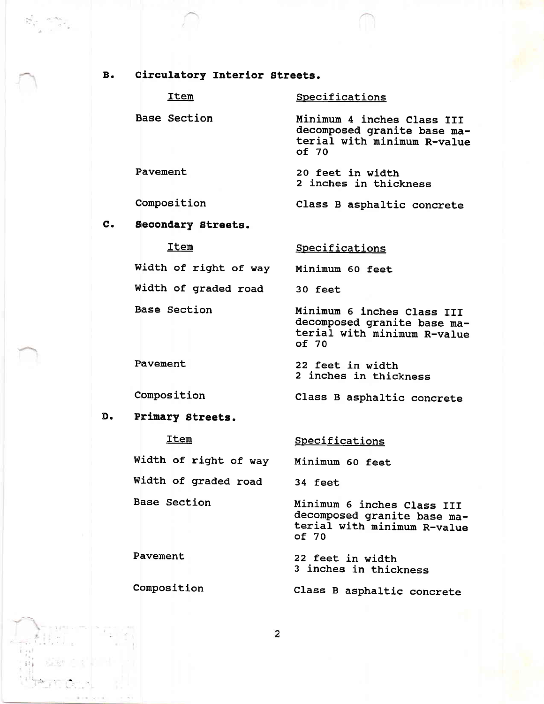### B. Circulatory Interior Streets.

|          | Item                | Specifications                                                                                    |
|----------|---------------------|---------------------------------------------------------------------------------------------------|
|          | <b>Base Section</b> | Minimum 4 inches Class III<br>decomposed granite base ma-<br>terial with minimum R-value<br>of 70 |
| Pavement |                     | 20 feet in width<br>2 inches in thickness                                                         |
|          | Composition         | Class B asphaltic concrete                                                                        |
|          |                     |                                                                                                   |

## C. Secondary Btreets.

### Item

Base Section

### **Specifications**

Width of right of way Minimum 60 feet

Width of graded road 30 feet

Minimum 6 inches Class III<br>decomposed granite base material with minimum R-value<br>of 70

Class B asphaltic concrete

22 feet in width<br>2 inches in thickness

# D. Prinary Streets.

a

Composition

Pavement

| Item                  | Specifications                                                                                    |
|-----------------------|---------------------------------------------------------------------------------------------------|
| Width of right of way | Minimum 60 feet                                                                                   |
| Width of graded road  | 34 feet                                                                                           |
| <b>Base Section</b>   | Minimum 6 inches Class III<br>decomposed granite base ma-<br>terial with minimum R-value<br>of 70 |

Pavement 22 feet in width 22 feet in thickness

Composition Class B asphaltic concrete

 $\overline{a}$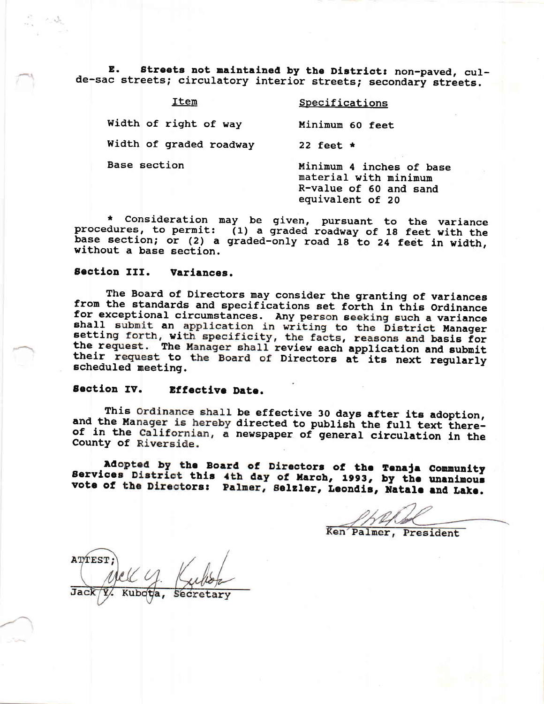Streets not maintained by the District: non-paved, cul-**,**  $\blacksquare$ de-sac streets; circulatory interior streets; secondary streets.

| Item                    | Specifications                                                                                  |
|-------------------------|-------------------------------------------------------------------------------------------------|
| Width of right of way   | Minimum 60 feet                                                                                 |
| Width of graded roadway | 22 feet $\star$                                                                                 |
| Base section            | Minimum 4 inches of base<br>material with minimum<br>R-value of 60 and sand<br>equivalent of 20 |

\* Consideration may be given, pursuant to the variance<br>procedures, to permit: (1) a graded roadway of 18 feet with the base section; or (2) a graded-only road 18 to 24 feet in width, without a base section.

#### Section III. Variances.

The Board of Directors may consider the granting of variances from the standards and specifications set forth in this Ordinance for exceptional circumstances. Any person seeking such a variance shall submit an application in writing to the District Manager setting forth, with specificity, the facts, reasons and basis for the request. The Manager shall review each application and submit their request to the Board of Directors at its next regularly scheduled meeting.

#### Section IV. Effective Date.

This Ordinance shall be effective 30 days after its adoption, and the Manager is hereby directed to publish the full text thereof in the Californian, a newspaper of general circulation in the County of Riverside.

Adopted by the Board of Directors of the Tenaja Community Services District this 4th day of March, 1993, by the unanimous vote of the Directors: Palmer, Selzler, Leondis, Natale and Lake.

Ken Palmer, President

**ATTEST**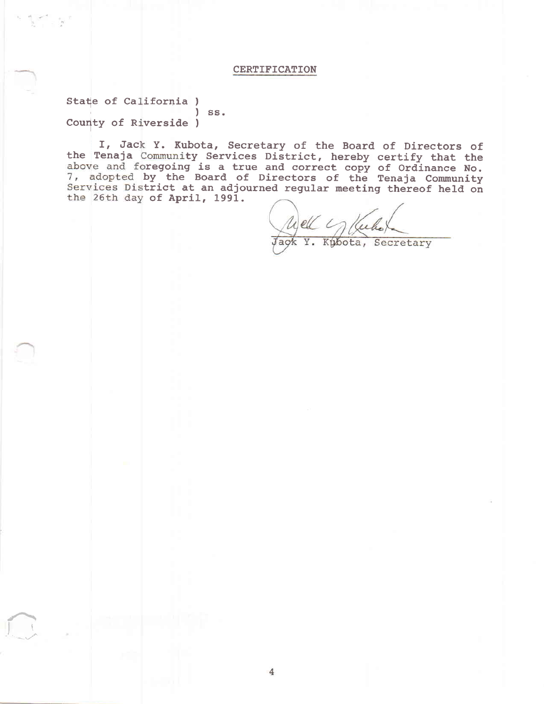### **CERTIFICATION**

State of California)  $)$  ss. County of Riverside )

I, Jack Y. Kubota, Secretary of the Board of Directors of the Tenaja Community Services District, hereby certify that the above and foregoing is a true and correct copy of Ordinance No.<br>7, adopted by the Board of Directors of the Tenaja Community Services District at an adjourned regular meeting thereof held on the 26th day of April, 1991.

 $\mu$ eu

Y. Kubota, Secretary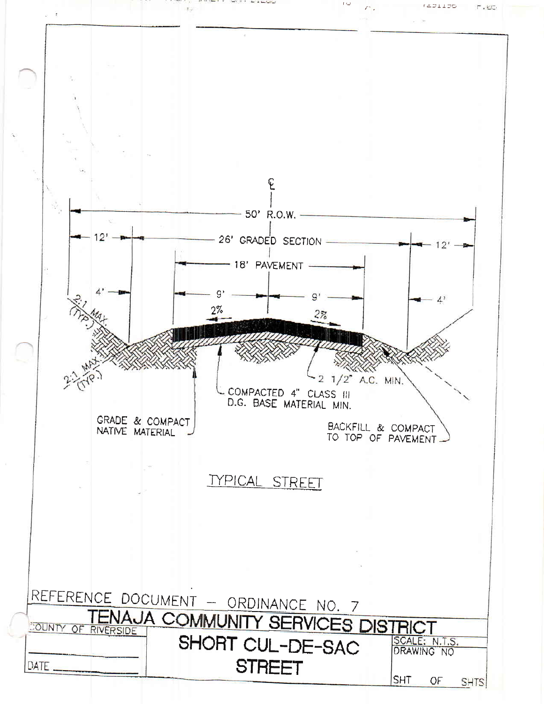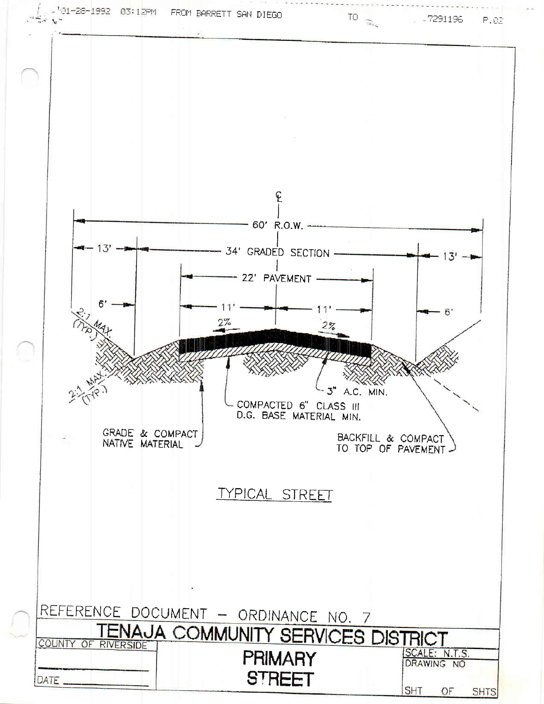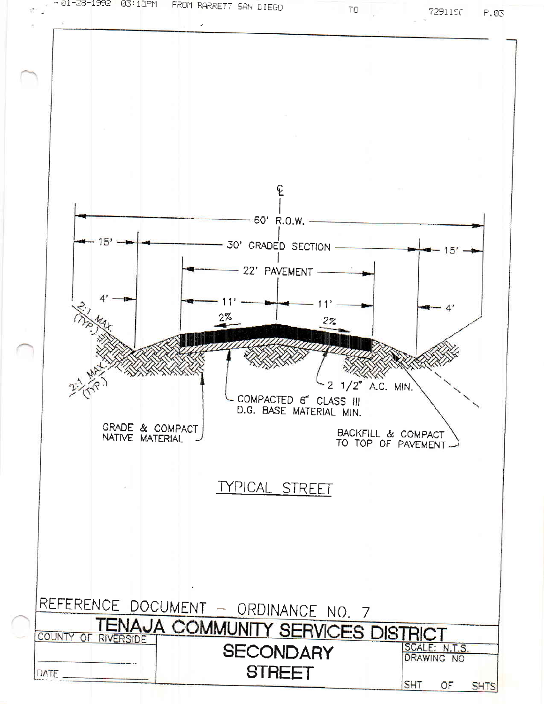